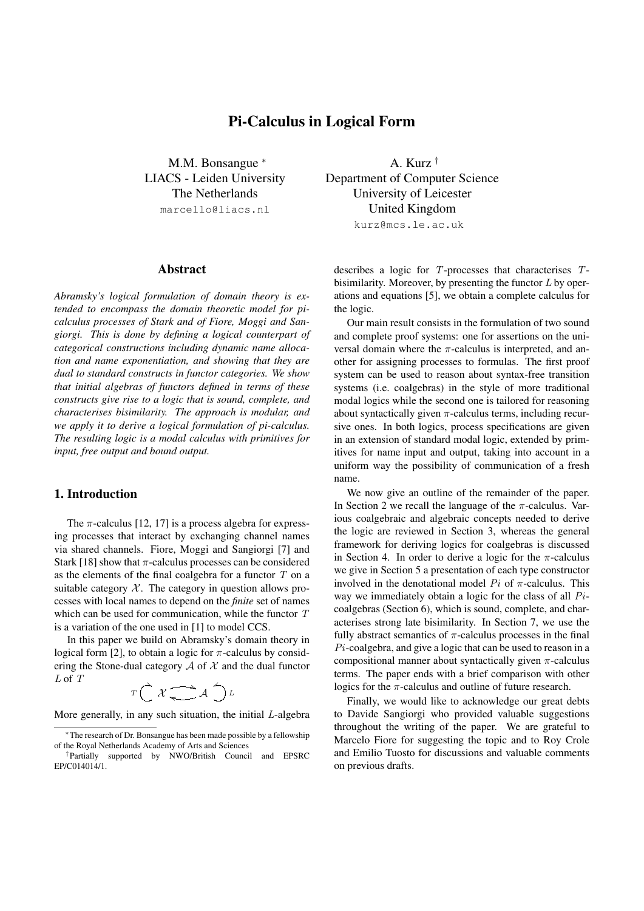# Pi-Calculus in Logical Form

M.M. Bonsangue <sup>\*</sup> LIACS - Leiden University The Netherlands marcello@liacs.nl

## Abstract

*Abramsky's logical formulation of domain theory is extended to encompass the domain theoretic model for picalculus processes of Stark and of Fiore, Moggi and Sangiorgi. This is done by defining a logical counterpart of categorical constructions including dynamic name allocation and name exponentiation, and showing that they are dual to standard constructs in functor categories. We show that initial algebras of functors defined in terms of these constructs give rise to a logic that is sound, complete, and characterises bisimilarity. The approach is modular, and we apply it to derive a logical formulation of pi-calculus. The resulting logic is a modal calculus with primitives for input, free output and bound output.*

## 1. Introduction

The  $\pi$ -calculus [12, 17] is a process algebra for expressing processes that interact by exchanging channel names via shared channels. Fiore, Moggi and Sangiorgi [7] and Stark [18] show that  $\pi$ -calculus processes can be considered as the elements of the final coalgebra for a functor  $T$  on a suitable category  $X$ . The category in question allows processes with local names to depend on the *finite* set of names which can be used for communication, while the functor T is a variation of the one used in [1] to model CCS.

In this paper we build on Abramsky's domain theory in logical form [2], to obtain a logic for  $\pi$ -calculus by considering the Stone-dual category  $A$  of  $X$  and the dual functor L of T

$$
T\bigcap\mathcal{X}\underset{\longleftarrow}{\longrightarrow}\mathcal{A}\bigcap\mathcal{L}
$$

More generally, in any such situation, the initial L-algebra

A. Kurz † Department of Computer Science University of Leicester United Kingdom kurz@mcs.le.ac.uk

describes a logic for T-processes that characterises Tbisimilarity. Moreover, by presenting the functor  $L$  by operations and equations [5], we obtain a complete calculus for the logic.

Our main result consists in the formulation of two sound and complete proof systems: one for assertions on the universal domain where the  $\pi$ -calculus is interpreted, and another for assigning processes to formulas. The first proof system can be used to reason about syntax-free transition systems (i.e. coalgebras) in the style of more traditional modal logics while the second one is tailored for reasoning about syntactically given  $\pi$ -calculus terms, including recursive ones. In both logics, process specifications are given in an extension of standard modal logic, extended by primitives for name input and output, taking into account in a uniform way the possibility of communication of a fresh name.

We now give an outline of the remainder of the paper. In Section 2 we recall the language of the  $\pi$ -calculus. Various coalgebraic and algebraic concepts needed to derive the logic are reviewed in Section 3, whereas the general framework for deriving logics for coalgebras is discussed in Section 4. In order to derive a logic for the  $\pi$ -calculus we give in Section 5 a presentation of each type constructor involved in the denotational model  $Pi$  of  $\pi$ -calculus. This way we immediately obtain a logic for the class of all Picoalgebras (Section 6), which is sound, complete, and characterises strong late bisimilarity. In Section 7, we use the fully abstract semantics of  $\pi$ -calculus processes in the final Pi-coalgebra, and give a logic that can be used to reason in a compositional manner about syntactically given  $\pi$ -calculus terms. The paper ends with a brief comparison with other logics for the  $\pi$ -calculus and outline of future research.

Finally, we would like to acknowledge our great debts to Davide Sangiorgi who provided valuable suggestions throughout the writing of the paper. We are grateful to Marcelo Fiore for suggesting the topic and to Roy Crole and Emilio Tuosto for discussions and valuable comments on previous drafts.

<sup>∗</sup>The research of Dr. Bonsangue has been made possible by a fellowship of the Royal Netherlands Academy of Arts and Sciences

<sup>†</sup>Partially supported by NWO/British Council and EPSRC EP/C014014/1.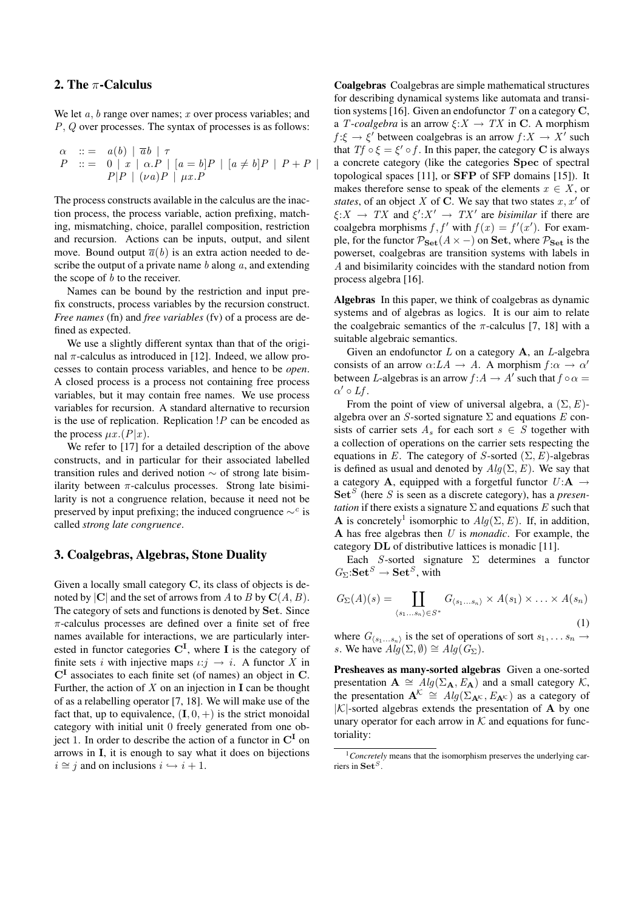## 2. The  $\pi$ -Calculus

We let  $a, b$  range over names; x over process variables; and P, Q over processes. The syntax of processes is as follows:

$$
\begin{array}{ll}\n\alpha & ::= & a(b) \mid \overline{a}b \mid \tau \\
P & ::= & 0 \mid x \mid \alpha.P \mid [a = b]P \mid [a \neq b]P \mid P + P \mid \\
P|P \mid (\nu a)P \mid \mu x.P\n\end{array}
$$

The process constructs available in the calculus are the inaction process, the process variable, action prefixing, matching, mismatching, choice, parallel composition, restriction and recursion. Actions can be inputs, output, and silent move. Bound output  $\overline{a}(b)$  is an extra action needed to describe the output of a private name  $b$  along  $a$ , and extending the scope of  $b$  to the receiver.

Names can be bound by the restriction and input prefix constructs, process variables by the recursion construct. *Free names* (fn) and *free variables* (fv) of a process are defined as expected.

We use a slightly different syntax than that of the original π-calculus as introduced in [12]. Indeed, we allow processes to contain process variables, and hence to be *open*. A closed process is a process not containing free process variables, but it may contain free names. We use process variables for recursion. A standard alternative to recursion is the use of replication. Replication  $P$  can be encoded as the process  $\mu x . (P|x)$ .

We refer to [17] for a detailed description of the above constructs, and in particular for their associated labelled transition rules and derived notion ∼ of strong late bisimilarity between  $\pi$ -calculus processes. Strong late bisimilarity is not a congruence relation, because it need not be preserved by input prefixing; the induced congruence  $\sim^c$  is called *strong late congruence*.

### 3. Coalgebras, Algebras, Stone Duality

Given a locally small category C, its class of objects is denoted by  $|C|$  and the set of arrows from A to B by  $C(A, B)$ . The category of sets and functions is denoted by Set. Since  $\pi$ -calculus processes are defined over a finite set of free names available for interactions, we are particularly interested in functor categories  $C^{I}$ , where I is the category of finite sets i with injective maps  $\iota:j \to i$ . A functor X in  $C<sup>I</sup>$  associates to each finite set (of names) an object in C. Further, the action of  $X$  on an injection in **I** can be thought of as a relabelling operator [7, 18]. We will make use of the fact that, up to equivalence,  $(I, 0, +)$  is the strict monoidal category with initial unit 0 freely generated from one object 1. In order to describe the action of a functor in  $\mathbb{C}^{I}$  on arrows in I, it is enough to say what it does on bijections  $i \cong i$  and on inclusions  $i \hookrightarrow i + 1$ .

Coalgebras Coalgebras are simple mathematical structures for describing dynamical systems like automata and transition systems [16]. Given an endofunctor  $T$  on a category  $C$ , a *T*-coalgebra is an arrow  $\xi: X \to TX$  in C. A morphism  $f: \xi \to \xi'$  between coalgebras is an arrow  $f: X \to X'$  such that  $Tf \circ \xi = \xi' \circ f$ . In this paper, the category C is always a concrete category (like the categories Spec of spectral topological spaces [11], or SFP of SFP domains [15]). It makes therefore sense to speak of the elements  $x \in X$ , or *states*, of an object  $X$  of  $C$ . We say that two states  $x, x'$  of  $\xi: X \to TX$  and  $\xi': X' \to TX'$  are *bisimilar* if there are coalgebra morphisms  $f, f'$  with  $f(x) = f'(x')$ . For example, for the functor  $P_{\text{Set}}(A \times -)$  on Set, where  $P_{\text{Set}}$  is the powerset, coalgebras are transition systems with labels in A and bisimilarity coincides with the standard notion from process algebra [16].

Algebras In this paper, we think of coalgebras as dynamic systems and of algebras as logics. It is our aim to relate the coalgebraic semantics of the  $\pi$ -calculus [7, 18] with a suitable algebraic semantics.

Given an endofunctor  $L$  on a category  $A$ , an  $L$ -algebra consists of an arrow  $\alpha: LA \to A$ . A morphism  $f: \alpha \to \alpha'$ between L-algebras is an arrow  $f: A \to A'$  such that  $f \circ \alpha =$  $\alpha' \circ Lf$ .

From the point of view of universal algebra, a  $(\Sigma, E)$ algebra over an S-sorted signature  $\Sigma$  and equations E consists of carrier sets  $A_s$  for each sort  $s \in S$  together with a collection of operations on the carrier sets respecting the equations in E. The category of S-sorted  $(\Sigma, E)$ -algebras is defined as usual and denoted by  $Alg(\Sigma, E)$ . We say that a category **A**, equipped with a forgetful functor  $U: \mathbf{A} \rightarrow$ Set<sup>S</sup> (here S is seen as a discrete category), has a *presentation* if there exists a signature  $\Sigma$  and equations E such that **A** is concretely<sup>1</sup> isomorphic to  $Alg(\Sigma, E)$ . If, in addition, A has free algebras then U is *monadic*. For example, the category DL of distributive lattices is monadic [11].

Each S-sorted signature  $\Sigma$  determines a functor  $G_{\Sigma}$ : $\mathbf{Set}^S \to \mathbf{Set}^S$ , with

$$
G_{\Sigma}(A)(s) = \coprod_{\langle s_1...s_n\rangle \in S^*} G_{\langle s_1...s_n\rangle} \times A(s_1) \times ... \times A(s_n)
$$
\n(1)

where  $G_{\langle s_1...s_n\rangle}$  is the set of operations of sort  $s_1, \ldots s_n \rightarrow$ s. We have  $Alg(\Sigma, \emptyset) \cong Alg(G_{\Sigma}).$ 

Presheaves as many-sorted algebras Given a one-sorted presentation  $\mathbf{A} \cong Alg(\Sigma_{\mathbf{A}}, E_{\mathbf{A}})$  and a small category  $\mathcal{K}$ , the presentation  $A^{\mathcal{K}} \cong Alg(\Sigma_{A^{\mathcal{K}}}, E_{A^{\mathcal{K}}})$  as a category of  $|K|$ -sorted algebras extends the presentation of **A** by one unary operator for each arrow in  $K$  and equations for functoriality:

<sup>&</sup>lt;sup>1</sup> Concretely means that the isomorphism preserves the underlying carriers in  $\mathbf{Set}^S$ .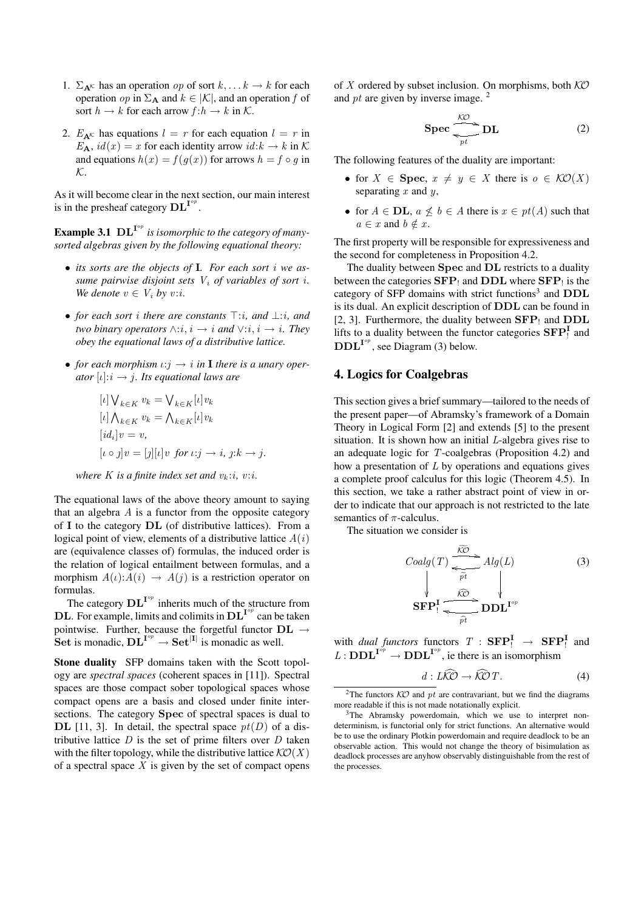- 1.  $\Sigma_{\mathbf{A}^k}$  has an operation *op* of sort  $k, \dots k \rightarrow k$  for each operation *op* in  $\Sigma_A$  and  $k \in |\mathcal{K}|$ , and an operation f of sort  $h \to k$  for each arrow  $f : h \to k$  in K.
- 2.  $E_{\mathbf{A}^{\mathcal{K}}}$  has equations  $l = r$  for each equation  $l = r$  in  $E_{\mathbf{A}}$ ,  $id(x) = x$  for each identity arrow  $id: k \to k$  in K and equations  $h(x) = f(g(x))$  for arrows  $h = f \circ g$  in K.

As it will become clear in the next section, our main interest is in the presheaf category  $\mathbf{DL}^{\mathbf{I}^{op}}$ .

**Example 3.1**  $\text{DL}^{\text{I}^{op}}$  is isomorphic to the category of many*sorted algebras given by the following equational theory:*

- *its sorts are the objects of* I*. For each sort* i *we assume pairwise disjoint sets*  $V_i$  *of variables of sort i. We denote*  $v \in V_i$  *by v*:*i*.
- *for each sort i there are constants*  $\top$ :*i, and* ⊥:*i, and two binary operators*  $\wedge$ :*i*, *i*  $\rightarrow$  *i and*  $\vee$ :*i*, *i*  $\rightarrow$  *i*. *They obey the equational laws of a distributive lattice.*
- *for each morphism*  $\iota$ : $i \rightarrow i$  *in* **I** *there is a unary operator*  $[i]: i \rightarrow j$ *. Its equational laws are*

$$
[l] \bigvee_{k \in K} v_k = \bigvee_{k \in K} [l] v_k
$$
  
\n
$$
[l] \bigwedge_{k \in K} v_k = \bigwedge_{k \in K} [l] v_k
$$
  
\n
$$
[id_i] v = v,
$$
  
\n
$$
[l \circ j] v = [j][l] v \text{ for } l : j \to i, j : k \to j.
$$

*where K is a finite index set and*  $v_k$ :*i*, *v*:*i*.

The equational laws of the above theory amount to saying that an algebra  $A$  is a functor from the opposite category of I to the category DL (of distributive lattices). From a logical point of view, elements of a distributive lattice  $A(i)$ are (equivalence classes of) formulas, the induced order is the relation of logical entailment between formulas, and a morphism  $A(t):A(i) \rightarrow A(j)$  is a restriction operator on formulas.

The category  $\text{DL}^{\text{I}^{op}}$  inherits much of the structure from **DL**. For example, limits and colimits in  $\text{DL}^{\mathbf{I}^{op}}$  can be taken pointwise. Further, because the forgetful functor  $\mathbf{DL} \rightarrow$ Set is monadic,  $\mathbf{DL}^{\mathbf{I}^{op}} \to \mathbf{Set}^{|\mathbf{I}|}$  is monadic as well.

Stone duality SFP domains taken with the Scott topology are *spectral spaces* (coherent spaces in [11]). Spectral spaces are those compact sober topological spaces whose compact opens are a basis and closed under finite intersections. The category Spec of spectral spaces is dual to DL [11, 3]. In detail, the spectral space  $pt(D)$  of a distributive lattice  $D$  is the set of prime filters over  $D$  taken with the filter topology, while the distributive lattice  $K\mathcal{O}(X)$ of a spectral space  $X$  is given by the set of compact opens of X ordered by subset inclusion. On morphisms, both  $K\mathcal{O}$ and pt are given by inverse image.  $2^{\circ}$ 

$$
\text{Spec} \, \frac{\text{K}\text{O}}{\text{P}t} \text{DL} \tag{2}
$$

The following features of the duality are important:

- for  $X \in \text{Spec}, x \neq y \in X$  there is  $o \in \mathcal{KO}(X)$ separating  $x$  and  $y$ ,
- for  $A \in$  **DL**,  $a \not\leq b \in A$  there is  $x \in pt(A)$  such that  $a \in x$  and  $b \notin x$ .

The first property will be responsible for expressiveness and the second for completeness in Proposition 4.2.

The duality between Spec and DL restricts to a duality between the categories  $\mathbf{SFP}_!$  and  $\mathbf{DDL}$  where  $\mathbf{SFP}_!$  is the category of SFP domains with strict functions<sup>3</sup> and DDL is its dual. An explicit description of DDL can be found in [2, 3]. Furthermore, the duality between  $\mathbf{SFP}_1$  and  $\mathbf{DDL}$ lifts to a duality between the functor categories  $\mathbf{SFP}_1^{\mathbf{I}}$  and  $\text{DDL}^{\mathbf{I}^{op}}$ , see Diagram (3) below.

## 4. Logics for Coalgebras

This section gives a brief summary—tailored to the needs of the present paper—of Abramsky's framework of a Domain Theory in Logical Form [2] and extends [5] to the present situation. It is shown how an initial L-algebra gives rise to an adequate logic for T-coalgebras (Proposition 4.2) and how a presentation of  $L$  by operations and equations gives a complete proof calculus for this logic (Theorem 4.5). In this section, we take a rather abstract point of view in order to indicate that our approach is not restricted to the late semantics of  $\pi$ -calculus.

The situation we consider is

$$
Coalg(T) \xrightarrow{\widehat{K\mathcal{O}}} Alg(L)
$$
\n
$$
\downarrow \qquad \qquad \downarrow \qquad \downarrow
$$
\n
$$
\mathbf{SFP!} \xrightarrow{\widehat{K\mathcal{O}}} \mathbf{DDL}^{\mathbf{I}^{op}}
$$
\n
$$
\downarrow
$$
\n
$$
\downarrow
$$
\n
$$
\downarrow
$$
\n
$$
\downarrow
$$
\n
$$
\downarrow
$$
\n
$$
\downarrow
$$
\n
$$
\downarrow
$$
\n
$$
\downarrow
$$
\n
$$
\downarrow
$$
\n
$$
\downarrow
$$
\n
$$
\downarrow
$$
\n
$$
\downarrow
$$
\n
$$
\downarrow
$$
\n
$$
\downarrow
$$
\n
$$
\downarrow
$$
\n
$$
\downarrow
$$
\n
$$
\downarrow
$$
\n
$$
\downarrow
$$
\n
$$
\downarrow
$$
\n
$$
\downarrow
$$
\n
$$
\downarrow
$$
\n
$$
\downarrow
$$
\n
$$
\downarrow
$$
\n
$$
\downarrow
$$
\n
$$
\downarrow
$$
\n
$$
\downarrow
$$
\n
$$
\downarrow
$$
\n
$$
\downarrow
$$
\n
$$
\downarrow
$$
\n
$$
\downarrow
$$
\n
$$
\downarrow
$$
\n
$$
\downarrow
$$
\n
$$
\downarrow
$$
\n
$$
\downarrow
$$
\n
$$
\downarrow
$$
\n
$$
\downarrow
$$
\n
$$
\downarrow
$$
\n
$$
\downarrow
$$
\n
$$
\downarrow
$$
\n
$$
\downarrow
$$
\n
$$
\downarrow
$$
\n
$$
\downarrow
$$
\n
$$
\downarrow
$$
\n
$$
\downarrow
$$
\n
$$
\downarrow
$$
\n
$$
\downarrow
$$
\n
$$
\downarrow
$$
\n
$$
\downarrow
$$
\n
$$
\downarrow
$$
\n
$$
\downarrow
$$
\n
$$
\downarrow
$$
\n
$$
\downarrow
$$
\n
$$
\downarrow
$$
\n
$$
\downarrow
$$
\n
$$
\downarrow
$$
\n<

with *dual functors* functors  $T :$   $\text{SFP}_!^{\text{I}} \rightarrow \text{SFP}_!^{\text{I}}$  and  $L: \mathbf{DDL}^{\mathbf{I}^{op}} \to \mathbf{DDL}^{\mathbf{I}^{op}}$ , ie there is an isomorphism

$$
\underline{d}: L\widehat{K\mathcal{O}} \to \widehat{K\mathcal{O}}\,T. \tag{4}
$$

<sup>&</sup>lt;sup>2</sup>The functors  $K\mathcal{O}$  and  $pt$  are contravariant, but we find the diagrams more readable if this is not made notationally explicit.

<sup>&</sup>lt;sup>3</sup>The Abramsky powerdomain, which we use to interpret nondeterminism, is functorial only for strict functions. An alternative would be to use the ordinary Plotkin powerdomain and require deadlock to be an observable action. This would not change the theory of bisimulation as deadlock processes are anyhow observably distinguishable from the rest of the processes.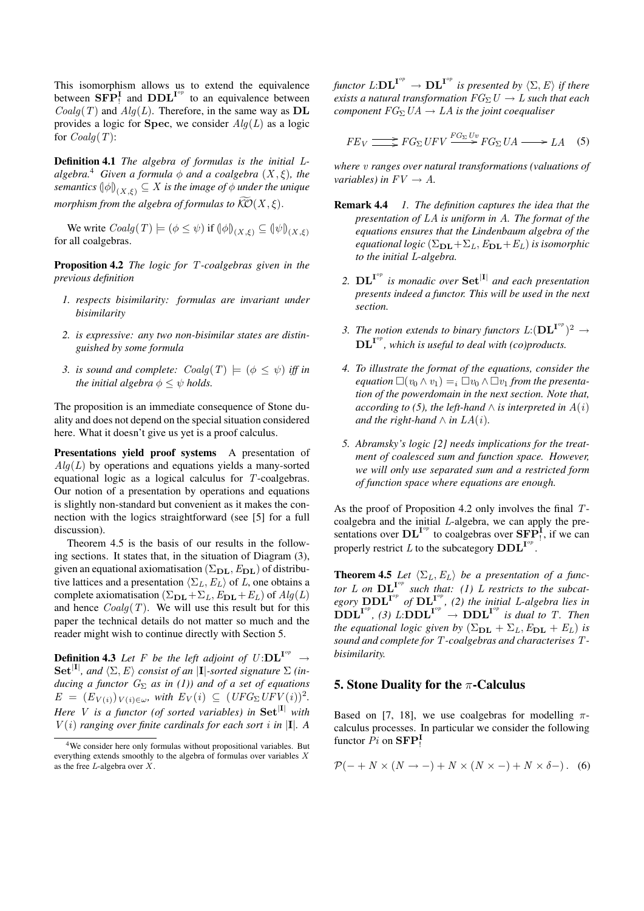This isomorphism allows us to extend the equivalence between  $\mathbf{SFP}_1^{\mathbf{I}}$  and  $\mathbf{DDL}^{\mathbf{I}^{op}}$  to an equivalence between  $Coalg(T)$  and  $Alg(L)$ . Therefore, in the same way as DL provides a logic for Spec, we consider  $Alg(L)$  as a logic for  $Coalg(T)$ :

Definition 4.1 *The algebra of formulas is the initial* L*algebra.*<sup>4</sup> *Given a formula*  $\phi$  *and a coalgebra*  $(X, \xi)$ *, the*  $s$ emantics  $\left(\phi\right)_{(X,\xi)} \subseteq X$  is the image of  $\phi$  under the unique *morphism from the algebra of formulas to*  $\widehat{KO}(X,\xi)$ .

We write  $Coalg(T) \models (\phi \leq \psi)$  if  $(\phi|_{(X,\xi)} \subseteq (\psi|_{(X,\xi)})$ for all coalgebras.

Proposition 4.2 *The logic for* T*-coalgebras given in the previous definition*

- *1. respects bisimilarity: formulas are invariant under bisimilarity*
- *2. is expressive: any two non-bisimilar states are distinguished by some formula*
- *3. is sound and complete:*  $Coalg(T) \models (\phi \leq \psi)$  *iff in the initial algebra*  $\phi \leq \psi$  *holds.*

The proposition is an immediate consequence of Stone duality and does not depend on the special situation considered here. What it doesn't give us yet is a proof calculus.

Presentations vield proof systems A presentation of  $Alg(L)$  by operations and equations yields a many-sorted equational logic as a logical calculus for T-coalgebras. Our notion of a presentation by operations and equations is slightly non-standard but convenient as it makes the connection with the logics straightforward (see [5] for a full discussion).

Theorem 4.5 is the basis of our results in the following sections. It states that, in the situation of Diagram (3), given an equational axiomatisation  $(\Sigma_{\text{DL}},E_{\text{DL}})$  of distributive lattices and a presentation  $\langle \Sigma_L, E_L \rangle$  of L, one obtains a complete axiomatisation  $(\Sigma_{\text{DL}}+\Sigma_L,E_{\text{DL}}+E_L)$  of  $Alg(L)$ and hence  $Coalg(T)$ . We will use this result but for this paper the technical details do not matter so much and the reader might wish to continue directly with Section 5.

**Definition 4.3** Let F be the left adjoint of  $U:\mathbf{DL}^{\mathbf{I}^{op}} \to$  $\textbf{Set}^{|\mathbf{I}|}$ , and  $\langle \Sigma, E \rangle$  consist of an |**I**|*-sorted signature*  $\Sigma$  *(inducing a functor*  $G_{\Sigma}$  *as in (1)) and of a set of equations*  $E = (E_{V(i)})_{V(i) \in \omega}$ , with  $E_V(i) \subseteq (UFG_\Sigma UFV(i))^2$ . *Here V is a functor (of sorted variables) in*  $Set^{|I|}$  *with*  $V(i)$  *ranging over finite cardinals for each sort i in*  $|I|$ *. A* 

*functor*  $L:\mathbf{DL}^{\mathbf{I}^{op}} \to \mathbf{DL}^{\mathbf{I}^{op}}$  *is presented by*  $\langle \Sigma, E \rangle$  *if there exists a natural transformation*  $FG_{\Sigma}U \rightarrow L$  *such that each component*  $FG_{\Sigma}UA \rightarrow LA$  *is the joint coequaliser* 

$$
FE_V \longrightarrow FG_{\Sigma} UFV \xrightarrow{FG_{\Sigma} Uv} FG_{\Sigma} UA \longrightarrow LA \quad (5)
$$

*where* v *ranges over natural transformations (valuations of variables)* in  $FV \rightarrow A$ .

- Remark 4.4 *1. The definition captures the idea that the presentation of* LA *is uniform in* A*. The format of the equations ensures that the Lindenbaum algebra of the equational logic*  $(\Sigma_{\text{DL}} + \Sigma_L, E_{\text{DL}} + E_L)$  *is isomorphic to the initial* L*-algebra.*
	- 2.  $\text{DL}^{\text{I}^{op}}$  is monadic over  $\text{Set}^{\text{I}^{op}}$  and each presentation *presents indeed a functor. This will be used in the next section.*
	- 3. The notion extends to binary functors  $L:({\bf DL}^{{\bf I}^{op}})^2\to$  $\text{DL}^{\mathbf{I}^{op}}$ , which is useful to deal with (co)products.
	- *4. To illustrate the format of the equations, consider the equation*  $\Box(v_0 \wedge v_1) =_i \Box v_0 \wedge \Box v_1$  *from the presentation of the powerdomain in the next section. Note that, according to (5), the left-hand*  $\wedge$  *is interpreted in*  $A(i)$ *and the right-hand*  $\wedge$  *in*  $LA(i)$ *.*
	- *5. Abramsky's logic [2] needs implications for the treatment of coalesced sum and function space. However, we will only use separated sum and a restricted form of function space where equations are enough.*

As the proof of Proposition 4.2 only involves the final Tcoalgebra and the initial L-algebra, we can apply the presentations over  $\text{DL}^{\text{I}^{op}}$  to coalgebras over  $\text{SFP}_1^{\text{I}}$ , if we can properly restrict L to the subcategory  $\mathbf{DDL}^{\mathbf{I}^{op}}$ .

**Theorem 4.5** *Let*  $\langle \Sigma_L, E_L \rangle$  *be a presentation of a functor*  $L$  *on*  $DL^{I^{op}}$  *such that:* (1)  $L$  *restricts to the subcat*egory  $\text{DDL}^{\text{I}^{op}}$  of  $\text{DL}^{\text{I}^{op}}$ , (2) the initial L-algebra lies in  $\overrightarrow{D}$ **DDL**<sup>I<sup>op</sup></sup>  $\rightarrow$  **DDL**<sup>I<sup>op</sup></sup> *is dual to T.* Then *the equational logic given by*  $(\Sigma_{\text{DL}} + \Sigma_L, E_{\text{DL}} + E_L)$  *is sound and complete for* T*-coalgebras and characterises* T*bisimilarity.*

## 5. Stone Duality for the  $\pi$ -Calculus

Based on [7, 18], we use coalgebras for modelling  $\pi$ calculus processes. In particular we consider the following functor  $\overline{Pi}$  on  $\mathbf{SFP}_!^{\mathbf{I}}$ 

$$
\mathcal{P}(- + N \times (N \to -) + N \times (N \times -) + N \times \delta -).
$$
 (6)

<sup>4</sup>We consider here only formulas without propositional variables. But everything extends smoothly to the algebra of formulas over variables X as the free  $L$ -algebra over  $\overline{X}$ .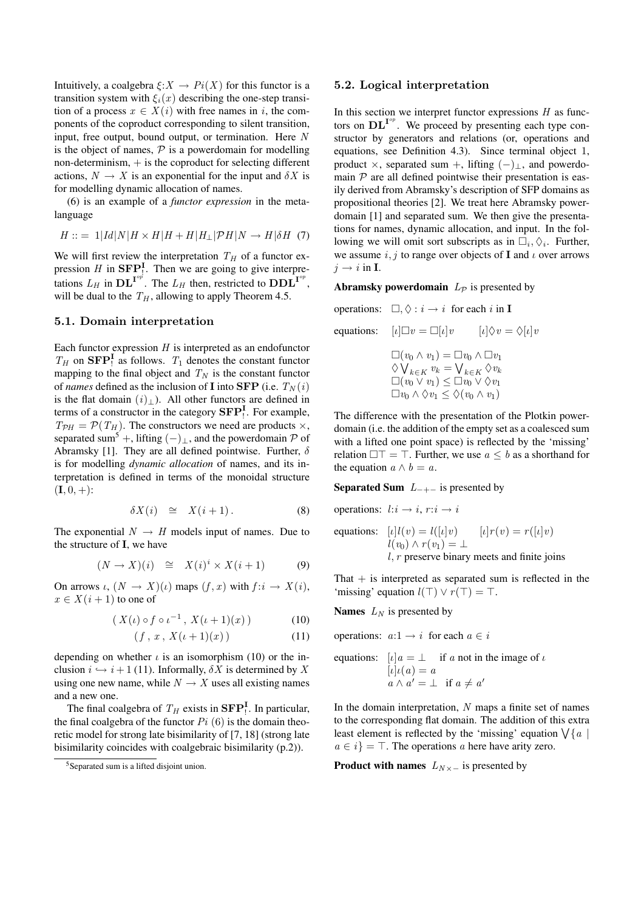Intuitively, a coalgebra  $\xi: X \to Pi(X)$  for this functor is a transition system with  $\xi_i(x)$  describing the one-step transition of a process  $x \in X(i)$  with free names in i, the components of the coproduct corresponding to silent transition, input, free output, bound output, or termination. Here N is the object of names,  $P$  is a powerdomain for modelling non-determinism,  $+$  is the coproduct for selecting different actions,  $N \to X$  is an exponential for the input and  $\delta X$  is for modelling dynamic allocation of names.

(6) is an example of a *functor expression* in the metalanguage

$$
H ::= 1 |Id|N|H \times H|H + H|H_{\perp}|\mathcal{P}H|N \to H|\delta H \quad (7)
$$

We will first review the interpretation  $T_H$  of a functor expression H in  $\mathbf{SFP}^{\mathbf{I}}_1$ . Then we are going to give interpretations  $L_H$  in  $\mathbf{DL}^{\mathbf{I}^{op}}$ . The  $L_H$  then, restricted to  $\mathbf{DDL}^{\mathbf{I}^{op}}$ , will be dual to the  $T_H$ , allowing to apply Theorem 4.5.

### 5.1. Domain interpretation

Each functor expression  $H$  is interpreted as an endofunctor  $T_H$  on  $\mathbf{SFP}_1^{\mathbf{I}}$  as follows.  $T_1$  denotes the constant functor mapping to the final object and  $T_N$  is the constant functor of *names* defined as the inclusion of **I** into **SFP** (i.e.  $T_N(i)$ ) is the flat domain  $(i)$ <sub>⊥</sub>). All other functors are defined in terms of a constructor in the category  $\mathbf{SFP}_!^{\mathbf{I}}$ . For example,  $T_{\mathcal{P}H} = \mathcal{P}(T_H)$ . The constructors we need are products  $\times$ , separated sum<sup>5</sup> +, lifting  $(-)_{\perp}$ , and the powerdomain P of Abramsky [1]. They are all defined pointwise. Further,  $\delta$ is for modelling *dynamic allocation* of names, and its interpretation is defined in terms of the monoidal structure  $(I, 0, +)$ :

$$
\delta X(i) \cong X(i+1). \tag{8}
$$

The exponential  $N \rightarrow H$  models input of names. Due to the structure of I, we have

$$
(N \to X)(i) \cong X(i)^{i} \times X(i+1) \tag{9}
$$

On arrows  $\iota$ ,  $(N \to X)(\iota)$  maps  $(f, x)$  with  $f : i \to X(i)$ ,  $x \in X(i+1)$  to one of

$$
(X(\iota) \circ f \circ \iota^{-1}, X(\iota + 1)(x)) \tag{10}
$$

$$
(f, x, X(\iota + 1)(x)) \tag{11}
$$

depending on whether  $\iota$  is an isomorphism (10) or the inclusion  $i \hookrightarrow i+1$  (11). Informally,  $\delta X$  is determined by X using one new name, while  $N \to X$  uses all existing names and a new one.

The final coalgebra of  $T_H$  exists in  $\mathbf{SFP}_!^{\mathbf{I}}$ . In particular, the final coalgebra of the functor  $Pi$  (6) is the domain theoretic model for strong late bisimilarity of [7, 18] (strong late bisimilarity coincides with coalgebraic bisimilarity (p.2)).

#### 5.2. Logical interpretation

In this section we interpret functor expressions  $H$  as functors on  $\text{DL}^{\text{I}^{op}}$ . We proceed by presenting each type constructor by generators and relations (or, operations and equations, see Definition 4.3). Since terminal object 1, product  $\times$ , separated sum +, lifting  $(-)_{\perp}$ , and powerdomain  $P$  are all defined pointwise their presentation is easily derived from Abramsky's description of SFP domains as propositional theories [2]. We treat here Abramsky powerdomain [1] and separated sum. We then give the presentations for names, dynamic allocation, and input. In the following we will omit sort subscripts as in  $\Box_i, \Diamond_i$ . Further, we assume i, j to range over objects of I and  $\iota$  over arrows  $i \rightarrow i$  in **I**.

#### Abramsky powerdomain  $L_{\mathcal{P}}$  is presented by

operations: 
$$
\Box, \Diamond : i \to i
$$
 for each *i* in **I**  
\nequations:  $[i] \Box v = \Box[i] v$   $[i] \Diamond v = \Diamond[i] v$   
\n $\Box(v_0 \land v_1) = \Box v_0 \land \Box v_1$   
\n $\Diamond \bigvee_{k \in K} v_k = \bigvee_{k \in K} \Diamond v_k$   
\n $\Box(v_0 \lor v_1) \leq \Box v_0 \lor \Diamond v_1$   
\n $\Box v_0 \land \Diamond v_1 \leq \Diamond(v_0 \land v_1)$ 

The difference with the presentation of the Plotkin powerdomain (i.e. the addition of the empty set as a coalesced sum with a lifted one point space) is reflected by the 'missing' relation  $\Box \top = \top$ . Further, we use  $a \leq b$  as a shorthand for the equation  $a \wedge b = a$ .

### Separated Sum  $L_{-+-}$  is presented by

operations: 
$$
l: i \rightarrow i
$$
,  $r: i \rightarrow i$   
\nequations:  $[l]l(v) = l([l]v)$   $[l]r(v) = r([l]v)$   
\n $l(v_0) \land r(v_1) = \bot$   
\n $l$ ,  $r$  preserve binary meets and finite joins

That  $+$  is interpreted as separated sum is reflected in the 'missing' equation  $l(\top) \vee r(\top) = \top$ .

**Names**  $L_N$  is presented by

operations:  $a:1 \rightarrow i$  for each  $a \in i$ 

equations: 
$$
[\iota]a = \bot \quad \text{if } a \text{ not in the image of } \iota
$$

$$
[\iota] \iota(a) = a
$$

$$
a \wedge a' = \bot \quad \text{if } a \neq a'
$$

In the domain interpretation,  $N$  maps a finite set of names to the corresponding flat domain. The addition of this extra least element is reflected by the 'missing' equation  $\sqrt{\{a\}}$  $a \in i$  =  $\top$ . The operations a here have arity zero.

**Product with names**  $L_{N\times -}$  is presented by

<sup>5</sup>Separated sum is a lifted disjoint union.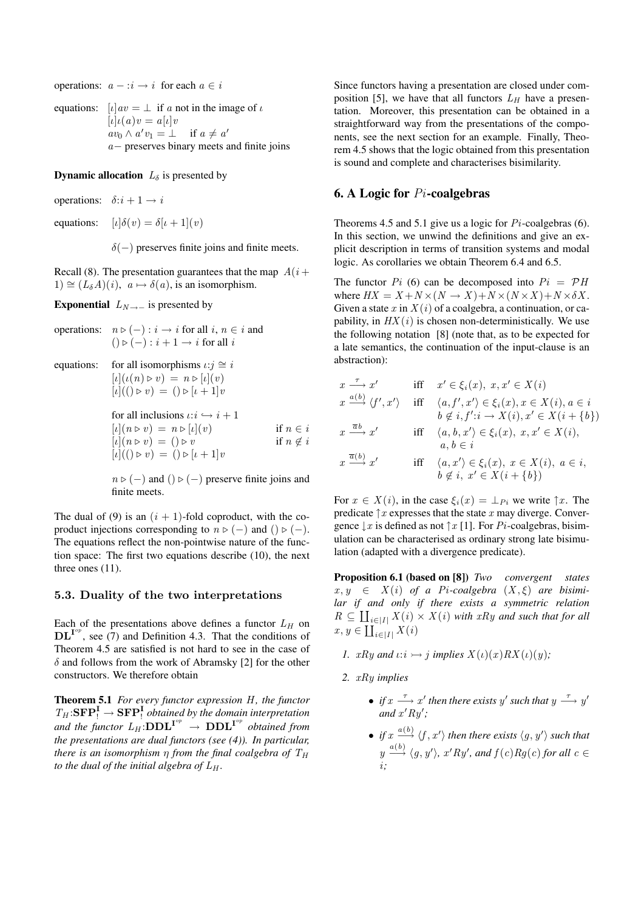operations:  $a - i \rightarrow i$  for each  $a \in i$ 

equations:  $\lbrack u \rbrack av = \perp$  if a not in the image of u  $[\iota] \iota(a)v = a[\iota]v$  $av_0 \wedge a'v_1 = \perp \text{ if } a \neq a'$ a− preserves binary meets and finite joins

**Dynamic allocation**  $L_{\delta}$  is presented by

operations:  $\delta$ :  $i + 1 \rightarrow i$ 

equations:  $[\iota] \delta(v) = \delta[\iota + 1](v)$ 

 $\delta(-)$  preserves finite joins and finite meets.

Recall (8). The presentation guarantees that the map  $A(i+)$  $1) \cong (L_{\delta}A)(i), a \mapsto \delta(a)$ , is an isomorphism.

Exponential  $L_{N\to -}$  is presented by

operations: 
$$
n \triangleright (-) : i \rightarrow i
$$
 for all  $i, n \in i$  and  
\n $( ) \triangleright (-) : i + 1 \rightarrow i$  for all  $i$   
\nequations: for all isomorphisms  $\iota : j \cong i$   
\n
$$
[\iota] (\iota(n) \triangleright v) = n \triangleright [\iota] (v)
$$
\n
$$
[\iota] (( ) \triangleright v) = ( ) \triangleright [\iota + 1] v
$$
\nfor all inclusions  $\iota : i \hookrightarrow i + 1$   
\n
$$
[\iota] (n \triangleright v) = n \triangleright [\iota] (v)
$$
\nif  $n \in i$   
\n
$$
[\iota] (n \triangleright v) = () \triangleright v
$$
\nif  $n \notin i$   
\n
$$
[\iota] (( ) \triangleright v) = () \triangleright [\iota + 1] v
$$

 $n \triangleright (-)$  and  $() \triangleright (-)$  preserve finite joins and finite meets.

The dual of (9) is an  $(i + 1)$ -fold coproduct, with the coproduct injections corresponding to  $n \triangleright (-)$  and  $() \triangleright (-)$ . The equations reflect the non-pointwise nature of the function space: The first two equations describe (10), the next three ones (11).

### 5.3. Duality of the two interpretations

Each of the presentations above defines a functor  $L_H$  on  $\text{DL}^{\text{I}^{op}}$ , see (7) and Definition 4.3. That the conditions of Theorem 4.5 are satisfied is not hard to see in the case of  $\delta$  and follows from the work of Abramsky [2] for the other constructors. We therefore obtain

Theorem 5.1 *For every functor expression* H, the functor  $T_H:\mathbf{SFP}^{\mathbf{I}}_!\to \mathbf{SFP}^{\mathbf{I}}_!$  *obtained by the domain interpretation* and the functor  $L_H:\text{DDL}^{\mathbf{I}^{op}} \to \text{DDL}^{\mathbf{I}^{op}}$  obtained from *the presentations are dual functors (see (4)). In particular, there is an isomorphism*  $\eta$  *from the final coalgebra of*  $T_H$ *to the dual of the initial algebra of*  $L_H$ *.* 

Since functors having a presentation are closed under composition [5], we have that all functors  $L_H$  have a presentation. Moreover, this presentation can be obtained in a straightforward way from the presentations of the components, see the next section for an example. Finally, Theorem 4.5 shows that the logic obtained from this presentation is sound and complete and characterises bisimilarity.

## 6. A Logic for  $Pi$ -coalgebras

Theorems 4.5 and 5.1 give us a logic for  $Pi$ -coalgebras (6). In this section, we unwind the definitions and give an explicit description in terms of transition systems and modal logic. As corollaries we obtain Theorem 6.4 and 6.5.

The functor  $Pi$  (6) can be decomposed into  $Pi = PH$ where  $HX = X + N \times (N \rightarrow X) + N \times (N \times X) + N \times \delta X$ . Given a state x in  $X(i)$  of a coalgebra, a continuation, or capability, in  $HX(i)$  is chosen non-deterministically. We use the following notation [8] (note that, as to be expected for a late semantics, the continuation of the input-clause is an abstraction):

$$
x \xrightarrow{\tau} x'
$$
 iff  $x' \in \xi_i(x)$ ,  $x, x' \in X(i)$   
\n $x \xrightarrow{a(b)} \langle f', x' \rangle$  iff  $\langle a, f', x' \rangle \in \xi_i(x)$ ,  $x \in X(i)$ ,  $a \in i$   
\n $b \notin i, f': i \to X(i)$ ,  $x' \in X(i + \{b\})$   
\n $x \xrightarrow{\overline{a}b} x'$  iff  $\langle a, b, x' \rangle \in \xi_i(x)$ ,  $x, x' \in X(i)$ ,  
\n $a, b \in i$   
\n $x \xrightarrow{\overline{a}(b)} x'$  iff  $\langle a, x' \rangle \in \xi_i(x)$ ,  $x \in X(i)$ ,  $a \in i$ ,  
\n $b \notin i, x' \in X(i + \{b\})$ 

For  $x \in X(i)$ , in the case  $\xi_i(x) = \perp_{P_i}$  we write  $\uparrow x$ . The predicate  $\uparrow x$  expresses that the state x may diverge. Convergence  $\downarrow x$  is defined as not  $\uparrow x$  [1]. For Pi-coalgebras, bisimulation can be characterised as ordinary strong late bisimulation (adapted with a divergence predicate).

Proposition 6.1 (based on [8]) *Two convergent states*  $x, y \in X(i)$  of a Pi-coalgebra  $(X, \xi)$  are bisimi*lar if and only if there exists a symmetric relation*  $R \subseteq \coprod_{i \in [I]} X(i) \times X(i)$  *with xRy and such that for all*  $x, y \in \coprod_{i \in |I|} X(i)$ 

- *1.*  $xRy$  *and*  $\iota: i \rightarrow j$  *implies*  $X(\iota)(x)RX(\iota)(y)$ *;*
- *2.* xRy *implies*
	- *if*  $x \stackrel{\tau}{\longrightarrow} x'$  then there exists y' such that  $y \stackrel{\tau}{\longrightarrow} y'$ and  $x'Ry'$ ;
	- *if*  $x \xrightarrow{a(b)} \langle f, x' \rangle$  then there exists  $\langle g, y' \rangle$  such that  $y \stackrel{a(b)}{\longrightarrow} \langle g, y' \rangle$ , x'Ry', and  $f(c)Rg(c)$  for all  $c \in$ i*;*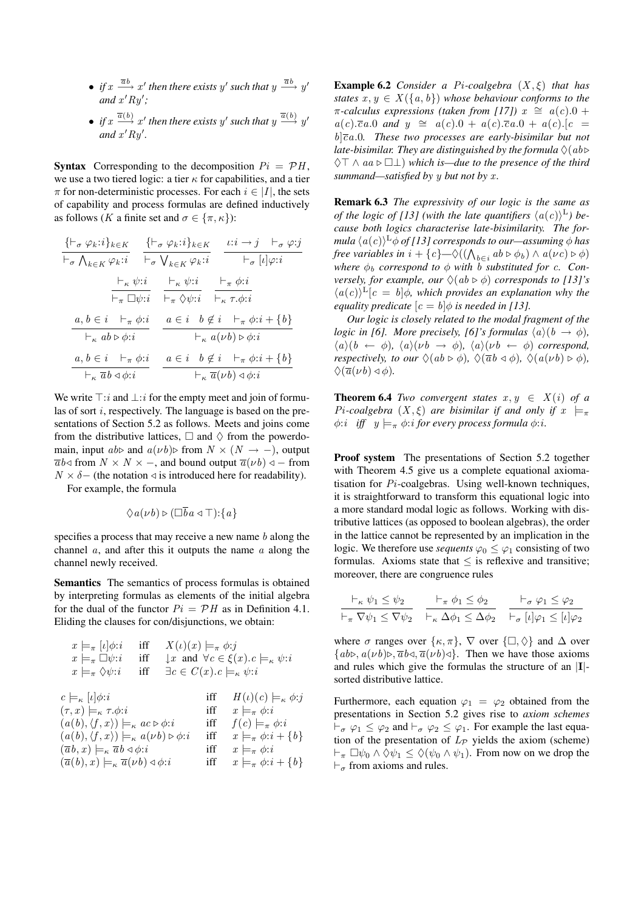- *if*  $x \xrightarrow{\overline{ab}} x'$  then there exists y' such that  $y \xrightarrow{\overline{ab}} y'$ and  $x'Ry'$ ;
- *if*  $x \xrightarrow{\overline{a}(b)} x'$  then there exists y' such that  $y \xrightarrow{\overline{a}(b)} y'$ and  $x'Ry'$ .

**Syntax** Corresponding to the decomposition  $Pi = \mathcal{P}H$ , we use a two tiered logic: a tier  $\kappa$  for capabilities, and a tier  $\pi$  for non-deterministic processes. For each  $i \in |I|$ , the sets of capability and process formulas are defined inductively as follows (K a finite set and  $\sigma \in {\pi, \kappa}$ ):

$$
\frac{\{\vdash_{\sigma} \varphi_k : i\}_{k \in K} \quad \frac{\{\vdash_{\sigma} \varphi_k : i\}_{k \in K} \quad \iota : i \to j \quad \vdash_{\sigma} \varphi : j}{\vdash_{\sigma} \bigvee_{k \in K} \varphi_k : i} \quad \frac{\vdash_{\sigma} \psi : i \quad \vdash_{\sigma} [l] \varphi : i}{\vdash_{\sigma} [l] \varphi : i} \quad \frac{\vdash_{\kappa} \psi : i \quad \vdash_{\kappa} \psi : i}{\vdash_{\pi} \Box \psi : i \quad \vdash_{\pi} \Diamond \psi : i} \quad \frac{\vdash_{\pi} \varphi : i}{\vdash_{\kappa} \tau, \phi : i} \quad \frac{a, b \in i \quad \vdash_{\pi} \varphi : i}{\vdash_{\kappa} ab \triangleright \varphi : i} \quad \frac{a \in i \quad b \notin i \quad \vdash_{\pi} \varphi : i + \{b\}}{\vdash_{\kappa} a(\nu b) \triangleright \varphi : i} \quad \frac{a, b \in i \quad \vdash_{\pi} \varphi : i}{\vdash_{\kappa} \overline{ab} \triangleleft \varphi : i} \quad \frac{a \in i \quad b \notin i \quad \vdash_{\pi} \varphi : i + \{b\}}{\vdash_{\kappa} \overline{a}(\nu b) \triangleleft \varphi : i} \quad \frac{a \in i \quad b \notin i \quad \vdash_{\pi} \varphi : i + \{b\}}{\vdash_{\kappa} \overline{a}(\nu b) \triangleleft \varphi : i} \quad \frac{a \in i \quad b \notin i \quad \vdash_{\pi} \varphi : i + \{b\}}{\vdash_{\kappa} \overline{a}(\nu b) \triangleleft \varphi : i} \quad \frac{a \in i \quad b \notin i \quad \vdash_{\pi} \varphi : i}{\vdash_{\kappa} \overline{a}(\nu b) \triangleleft \varphi : i} \quad \frac{a \in i \quad b \notin i \quad \vdash_{\pi} \varphi : i}{\vdash_{\kappa} \overline{a}(\nu b) \triangleleft \varphi : i} \quad \frac{a \in i \quad b \notin i \quad \vdash_{\pi} \varphi : i}{\vdash_{\kappa} \overline{a}(\nu b) \triangleleft \varphi : i} \quad \frac{a \in i \quad b
$$

We write  $\top$ : i and  $\bot$ : i for the empty meet and join of formulas of sort i, respectively. The language is based on the presentations of Section 5.2 as follows. Meets and joins come from the distributive lattices,  $\Box$  and  $\Diamond$  from the powerdomain, input  $ab$  and  $a(\nu b)$  from  $N \times (N \rightarrow -)$ , output  $\overline{a}b\triangleleft$  from  $N \times N \times -$ , and bound output  $\overline{a}(\nu b) \triangleleft -$  from  $N \times \delta$  – (the notation  $\triangleleft$  is introduced here for readability).

For example, the formula

$$
\Diamond a(\nu b) \triangleright (\Box \overline{b}a \triangleleft \top):\{a\}
$$

specifies a process that may receive a new name  $b$  along the channel  $a$ , and after this it outputs the name  $a$  along the channel newly received.

Semantics The semantics of process formulas is obtained by interpreting formulas as elements of the initial algebra for the dual of the functor  $Pi = \mathcal{P}H$  as in Definition 4.1. Eliding the clauses for con/disjunctions, we obtain:

$$
x \models_{\pi} [\iota] \phi: i \quad \text{iff} \quad X(\iota)(x) \models_{\pi} \phi: j
$$
  
\n
$$
x \models_{\pi} \Box \psi: i \quad \text{iff} \quad \downarrow x \text{ and } \forall c \in \xi(x). c \models_{\kappa} \psi: i
$$
  
\n
$$
x \models_{\pi} \Diamond \psi: i \quad \text{iff} \quad \exists c \in C(x). c \models_{\kappa} \psi: i
$$
  
\n
$$
c \models_{\kappa} [\iota] \phi: i \quad \text{iff} \quad H(\iota)(c) \models_{\kappa} \phi: j
$$
  
\n
$$
(\tau, x) \models_{\kappa} \tau. \phi: i \quad \text{iff} \quad x \models_{\pi} \phi: i
$$
  
\n
$$
(a(b), \langle f, x \rangle) \models_{\kappa} a \circ \phi: i \quad \text{iff} \quad f(c) \models_{\pi} \phi: i
$$
  
\n
$$
(\bar{a}(b), \bar{b}(x)) \models_{\kappa} \bar{a}(\bar{b}(x)) \diamond \phi: i \quad \text{iff} \quad x \models_{\pi} \phi: i
$$
  
\n
$$
(\bar{a}(b), x) \models_{\kappa} \bar{a}(\bar{b}(b)) \triangleleft \phi: i \quad \text{iff} \quad x \models_{\pi} \phi: i
$$
  
\n
$$
(\bar{a}(b), x) \models_{\kappa} \bar{a}(\bar{b}(b)) \triangleleft \phi: i \quad \text{iff} \quad x \models_{\pi} \phi: i + \{b\}
$$

Example 6.2 *Consider a* Pi*-coalgebra* (X , ξ) *that has states*  $x, y \in X(\{a, b\})$  *whose behaviour conforms to the*  $\pi$ -calculus expressions (taken from [17])  $x \cong a(c) \cdot 0 +$  $a(c).\overline{c}a.0$  and  $y \cong a(c).0 + a(c).\overline{c}a.0 + a(c).[c] =$  $b\overline{c}a.0$ . These two processes are early-bisimilar but not *late-bisimilar. They are distinguished by the formula*  $\Diamond$ (*ab* $\triangleright$ ♦> ∧ aa . ⊥) *which is—due to the presence of the third summand—satisfied by y but not by x.* 

Remark 6.3 *The expressivity of our logic is the same as of the logic of [13] (with the late quantifiers*  $\langle a(c) \rangle^L$ *) because both logics characterise late-bisimilarity. The for*mula  $\langle a(c) \rangle^{\text{L}}$ φ of [13] corresponds to our—assuming φ has *free variables in*  $i + \{c\} \infty ((\bigwedge_{b \in i} ab \triangleright \phi_b) \wedge a(\nu c) \triangleright \phi)$ *where*  $\phi_b$  *correspond to*  $\phi$  *with b substituted for c. Conversely, for example, our*  $\Diamond(ab \triangleright \phi)$  *corresponds to [13]'s*  $\langle a(c)\rangle^{\text{L}}[c = b]\phi$ , which provides an explanation why the *equality predicate*  $[c = b]$  $\phi$  *is needed in [13].* 

*Our logic is closely related to the modal fragment of the logic in [6]. More precisely, [6]'s formulas*  $\langle a \rangle(b \rightarrow \phi)$ *,*  $\langle a \rangle (b \leftarrow \phi)$ ,  $\langle a \rangle (\nu b \rightarrow \phi)$ ,  $\langle a \rangle (\nu b \leftarrow \phi)$  *correspond, respectively, to our*  $\Diamond(ab \triangleright \phi)$ *,*  $\Diamond(\overline{ab} \triangleleft \phi)$ *,*  $\Diamond(a(\nu b) \triangleright \phi)$ *,*  $\Diamond(\overline{a}(\nu b) \triangleleft \phi).$ 

**Theorem 6.4** *Two convergent states*  $x, y \in X(i)$  *of a* Pi-coalgebra  $(X, \xi)$  are bisimilar if and only if  $x \models_{\pi}$  $\phi$ :*i iff*  $y \models_{\pi} \phi$ :*i for every process formula*  $\phi$ :*i*.

Proof system The presentations of Section 5.2 together with Theorem 4.5 give us a complete equational axiomatisation for  $Pi$ -coalgebras. Using well-known techniques, it is straightforward to transform this equational logic into a more standard modal logic as follows. Working with distributive lattices (as opposed to boolean algebras), the order in the lattice cannot be represented by an implication in the logic. We therefore use *sequents*  $\varphi_0 \leq \varphi_1$  consisting of two formulas. Axioms state that  $\leq$  is reflexive and transitive; moreover, there are congruence rules

$$
\frac{\vdash_{\kappa} \psi_1 \leq \psi_2}{\vdash_{\pi} \nabla \psi_1 \leq \nabla \psi_2} \quad \frac{\vdash_{\pi} \phi_1 \leq \phi_2}{\vdash_{\kappa} \Delta \phi_1 \leq \Delta \phi_2} \quad \frac{\vdash_{\sigma} \varphi_1 \leq \varphi_2}{\vdash_{\sigma} [l] \varphi_1 \leq [l] \varphi_2}
$$

where  $\sigma$  ranges over  $\{\kappa, \pi\}, \nabla$  over  $\{\Box, \Diamond\}$  and  $\Delta$  over  $\{ab\in, a(\nu b)\in, \overline{a}b\triangleleft, \overline{a}(\nu b)\triangleleft\}.$  Then we have those axioms and rules which give the formulas the structure of an |I| sorted distributive lattice.

Furthermore, each equation  $\varphi_1 = \varphi_2$  obtained from the presentations in Section 5.2 gives rise to *axiom schemes*  $\vdash_{\sigma} \varphi_1 \leq \varphi_2$  and  $\vdash_{\sigma} \varphi_2 \leq \varphi_1$ . For example the last equation of the presentation of  $L_p$  yields the axiom (scheme)  $\vdash_{\pi} \Box \psi_0 \land \Diamond \psi_1 \leq \Diamond(\psi_0 \land \psi_1)$ . From now on we drop the  $\vdash_{\sigma}$  from axioms and rules.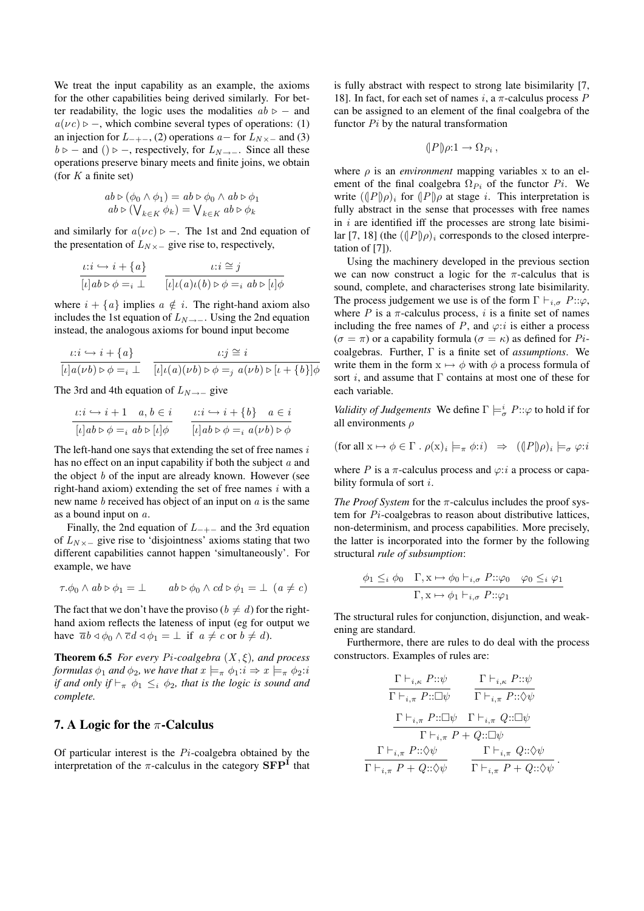We treat the input capability as an example, the axioms for the other capabilities being derived similarly. For better readability, the logic uses the modalities  $ab \ge -$  and  $a(\nu c) \triangleright -$ , which combine several types of operations: (1) an injection for  $L_{-+-}$ , (2) operations  $a-$  for  $L_{N\times-}$  and (3)  $b \triangleright$  – and ()  $\triangleright$  –, respectively, for  $L_{N\to -}$ . Since all these operations preserve binary meets and finite joins, we obtain (for  $K$  a finite set)

$$
ab \triangleright (\phi_0 \wedge \phi_1) = ab \triangleright \phi_0 \wedge ab \triangleright \phi_1
$$
  

$$
ab \triangleright (\bigvee_{k \in K} \phi_k) = \bigvee_{k \in K} ab \triangleright \phi_k
$$

and similarly for  $a(\nu c)$   $\triangleright$  -. The 1st and 2nd equation of the presentation of  $L_{N\times}-$  give rise to, respectively,

$$
\frac{\iota:i \hookrightarrow i + \{a\}}{[\iota]ab \triangleright \phi =_i \bot} \qquad \frac{\iota:i \cong j}{[\iota] \iota(a) \iota(b) \triangleright \phi =_i ab \triangleright [\iota] \phi}
$$

where  $i + \{a\}$  implies  $a \notin i$ . The right-hand axiom also includes the 1st equation of  $L_{N\to -}$ . Using the 2nd equation instead, the analogous axioms for bound input become

$$
\frac{\iota:i \hookrightarrow i + \{a\}}{[\iota]a(\nu b) \triangleright \phi =_i \bot} \quad \frac{\iota:j \cong i}{[\iota] \iota(a)(\nu b) \triangleright \phi =_j a(\nu b) \triangleright [\iota + \{b\}] \phi}
$$

The 3rd and 4th equation of  $L_{N\to -}$  give

$$
\frac{\iota : i \hookrightarrow i+1 \quad a, b \in i}{[\iota] ab \triangleright \phi =_i ab \triangleright [\iota] \phi} \qquad \frac{\iota : i \hookrightarrow i+\{b\} \quad a \in i}{[\iota] ab \triangleright \phi =_i a(\nu b) \triangleright \phi}
$$

The left-hand one says that extending the set of free names  $i$ has no effect on an input capability if both the subject a and the object  $b$  of the input are already known. However (see right-hand axiom) extending the set of free names  $i$  with a new name  $b$  received has object of an input on  $a$  is the same as a bound input on a.

Finally, the 2nd equation of  $L_{-+-}$  and the 3rd equation of  $L_{N\times}-$  give rise to 'disjointness' axioms stating that two different capabilities cannot happen 'simultaneously'. For example, we have

$$
\tau \cdot \phi_0 \wedge ab \triangleright \phi_1 = \bot \qquad ab \triangleright \phi_0 \wedge cd \triangleright \phi_1 = \bot \ (a \neq c)
$$

The fact that we don't have the proviso ( $b \neq d$ ) for the righthand axiom reflects the lateness of input (eg for output we have  $\overline{a}b \triangleleft \phi_0 \wedge \overline{c}d \triangleleft \phi_1 = \perp$  if  $a \neq c$  or  $b \neq d$ ).

**Theorem 6.5** *For every Pi-coalgebra*  $(X, \xi)$ *, and process formulas*  $\phi_1$  *and*  $\phi_2$ *, we have that*  $x \models_{\pi} \phi_1 : i \Rightarrow x \models_{\pi} \phi_2 : i$ *if and only if*  $\vdash_{\pi} \phi_1 \leq_i \phi_2$ *, that is the logic is sound and complete.*

## 7. A Logic for the  $\pi$ -Calculus

Of particular interest is the  $Pi$ -coalgebra obtained by the interpretation of the  $\pi$ -calculus in the category  $\mathbf{SFP}^{\mathbf{i}}$  that

is fully abstract with respect to strong late bisimilarity [7, 18]. In fact, for each set of names i, a  $\pi$ -calculus process P can be assigned to an element of the final coalgebra of the functor  $Pi$  by the natural transformation

$$
(P\mathbf{p})\rho:1\to\Omega_{Pi},
$$

where  $\rho$  is an *environment* mapping variables x to an element of the final coalgebra  $\Omega_{P_i}$  of the functor  $P_i$ . We write  $((|P|)_{\rho})_i$  for  $(|P|)_{\rho}$  at stage i. This interpretation is fully abstract in the sense that processes with free names in  $i$  are identified iff the processes are strong late bisimilar [7, 18] (the  $((|P|)\rho)_i$  corresponds to the closed interpretation of [7]).

Using the machinery developed in the previous section we can now construct a logic for the  $\pi$ -calculus that is sound, complete, and characterises strong late bisimilarity. The process judgement we use is of the form  $\Gamma \vdash_{i \sigma} P::\varphi$ , where  $P$  is a  $\pi$ -calculus process, i is a finite set of names including the free names of P, and  $\varphi$ :*i* is either a process  $(\sigma = \pi)$  or a capability formula  $(\sigma = \kappa)$  as defined for Picoalgebras. Further, Γ is a finite set of *assumptions*. We write them in the form  $x \mapsto \phi$  with  $\phi$  a process formula of sort *i*, and assume that  $\Gamma$  contains at most one of these for each variable.

*Validity of Judgements* We define  $\Gamma \models_{\sigma}^{i} P::\varphi$  to hold if for all environments  $\rho$ 

$$
(\text{for all } x \mapsto \phi \in \Gamma \cdot \rho(x)_i \models_{\pi} \phi : i) \Rightarrow ((\!\!\[\,P\,\!\!\] \rho)_i \models_{\sigma} \varphi : i
$$

where P is a  $\pi$ -calculus process and  $\varphi$ :*i* a process or capability formula of sort i.

*The Proof System* for the π-calculus includes the proof system for Pi-coalgebras to reason about distributive lattices, non-determinism, and process capabilities. More precisely, the latter is incorporated into the former by the following structural *rule of subsumption*:

$$
\frac{\phi_1 \leq_i \phi_0 \quad \Gamma, x \mapsto \phi_0 \vdash_{i,\sigma} P::\varphi_0 \quad \varphi_0 \leq_i \varphi_1}{\Gamma, x \mapsto \phi_1 \vdash_{i,\sigma} P::\varphi_1}
$$

The structural rules for conjunction, disjunction, and weakening are standard.

Furthermore, there are rules to do deal with the process constructors. Examples of rules are:

$$
\frac{\Gamma\vdash_{i,\kappa} P::\psi}{\Gamma\vdash_{i,\pi} P::\Box\psi} \qquad \frac{\Gamma\vdash_{i,\kappa} P::\psi}{\Gamma\vdash_{i,\pi} P::\Diamond\psi}
$$
\n
$$
\frac{\Gamma\vdash_{i,\pi} P::\Box\psi \qquad \Gamma\vdash_{i,\pi} Q::\Box\psi}{\Gamma\vdash_{i,\pi} P\vdots\Diamond\psi}
$$
\n
$$
\frac{\Gamma\vdash_{i,\pi} P::\Diamond\psi}{\Gamma\vdash_{i,\pi} P\vdots\Diamond\psi} \qquad \frac{\Gamma\vdash_{i,\pi} Q::\Diamond\psi}{\Gamma\vdash_{i,\pi} P\vdots\Diamond\psi}
$$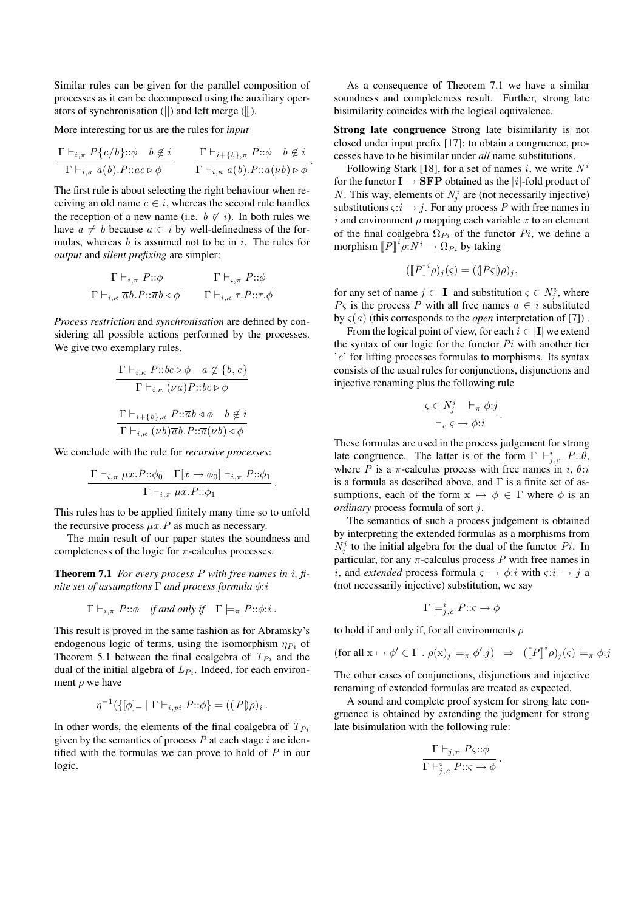Similar rules can be given for the parallel composition of processes as it can be decomposed using the auxiliary operators of synchronisation ( $\vert\vert$ ) and left merge ( $\vert\vert$ ).

More interesting for us are the rules for *input*

$$
\frac{\Gamma\vdash_{i,\pi} P\{c/b\}::\phi \quad b\not\in i}{\Gamma\vdash_{i,\kappa} a(b).P::ac\rhd\phi} \qquad \frac{\Gamma\vdash_{i+\{b\},\pi} P::\phi \quad b\not\in i}{\Gamma\vdash_{i,\kappa} a(b).P::a(\nu b)\rhd\phi}.
$$

The first rule is about selecting the right behaviour when receiving an old name  $c \in i$ , whereas the second rule handles the reception of a new name (i.e.  $b \notin i$ ). In both rules we have  $a \neq b$  because  $a \in i$  by well-definedness of the formulas, whereas  $b$  is assumed not to be in  $i$ . The rules for *output* and *silent prefixing* are simpler:

$$
\frac{\Gamma \vdash_{i,\pi} P::\phi}{\Gamma \vdash_{i,\kappa} \overline{a}b.P::\overline{a}b \triangleleft \phi} \qquad \frac{\Gamma \vdash_{i,\pi} P::\phi}{\Gamma \vdash_{i,\kappa} \tau.P::\tau.\phi}
$$

*Process restriction* and *synchronisation* are defined by considering all possible actions performed by the processes. We give two exemplary rules.

$$
\frac{\Gamma \vdash_{i,\kappa} P::bc \triangleright \phi \quad a \notin \{b,c\}}{\Gamma \vdash_{i,\kappa} (\nu a) P::bc \triangleright \phi}
$$
\n
$$
\frac{\Gamma \vdash_{i+\{b\},\kappa} P::\overline{a}b \triangleleft \phi \quad b \notin i}{\Gamma \vdash_{i,\kappa} (\nu b)\overline{a}b P::\overline{a}(\nu b) \triangleleft \phi}
$$

We conclude with the rule for *recursive processes*:

$$
\frac{\Gamma\vdash_{i,\pi}\mu x.P::\phi_0\quad \Gamma[x\mapsto\phi_0]\vdash_{i,\pi} P::\phi_1}{\Gamma\vdash_{i,\pi}\mu x.P::\phi_1}
$$

.

This rules has to be applied finitely many time so to unfold the recursive process  $\mu x.P$  as much as necessary.

The main result of our paper states the soundness and completeness of the logic for  $\pi$ -calculus processes.

Theorem 7.1 *For every process* P *with free names in* i*, finite set of assumptions* Γ *and process formula* φ:i

$$
\Gamma \vdash_{i,\pi} P :: \phi
$$
 if and only if  $\Gamma \models_{\pi} P :: \phi : i$ .

This result is proved in the same fashion as for Abramsky's endogenous logic of terms, using the isomorphism  $\eta_{Pi}$  of Theorem 5.1 between the final coalgebra of  $T_{Pi}$  and the dual of the initial algebra of  $L_{P_i}$ . Indeed, for each environment  $\rho$  we have

$$
\eta^{-1}(\{ [\phi]_{=} | \Gamma \vdash_{i,pi} P : : \phi \} = (P \circ \rho)_i .
$$

In other words, the elements of the final coalgebra of  $T_{Pi}$ given by the semantics of process  $P$  at each stage  $i$  are identified with the formulas we can prove to hold of  $P$  in our logic.

As a consequence of Theorem 7.1 we have a similar soundness and completeness result. Further, strong late bisimilarity coincides with the logical equivalence.

Strong late congruence Strong late bisimilarity is not closed under input prefix [17]: to obtain a congruence, processes have to be bisimilar under *all* name substitutions.

Following Stark [18], for a set of names i, we write  $N^i$ for the functor  $I \rightarrow SFP$  obtained as the |i|-fold product of N. This way, elements of  $N_j^i$  are (not necessarily injective) substitutions  $\varsigma:i\to j$ . For any process P with free names in i and environment  $\rho$  mapping each variable x to an element of the final coalgebra  $\Omega_{P_i}$  of the functor  $P_i$ , we define a morphism  $[P]^i \rho: N^i \to \Omega_{P_i}$  by taking

$$
([\![P]\!]^i \rho)_j(\varsigma) = ((\![P\varsigma]\!] \rho)_j,
$$

for any set of name  $j \in |\mathbf{I}|$  and substitution  $\varsigma \in N_j^i$ , where  $P_{\varsigma}$  is the process P with all free names  $a \in i$  substituted by  $\zeta(a)$  (this corresponds to the *open* interpretation of [7]).

From the logical point of view, for each  $i \in |I|$  we extend the syntax of our logic for the functor  $Pi$  with another tier 'c' for lifting processes formulas to morphisms. Its syntax consists of the usual rules for conjunctions, disjunctions and injective renaming plus the following rule

$$
\frac{\varsigma \in N_j^i \quad \vdash_{\pi} \phi : j}{\vdash_c \varsigma \rightarrow \phi : i}.
$$

These formulas are used in the process judgement for strong late congruence. The latter is of the form  $\Gamma \vdash_{j,c}^i P::\theta$ , where P is a  $\pi$ -calculus process with free names in i,  $\theta$ : is a formula as described above, and  $\Gamma$  is a finite set of assumptions, each of the form  $x \mapsto \phi \in \Gamma$  where  $\phi$  is an *ordinary* process formula of sort j.

The semantics of such a process judgement is obtained by interpreting the extended formulas as a morphisms from  $N_j^i$  to the initial algebra for the dual of the functor  $Pi$ . In particular, for any  $\pi$ -calculus process P with free names in *i*, and *extended* process formula  $\varsigma \rightarrow \phi$ :*i* with  $\varsigma$ :*i*  $\rightarrow j$  a (not necessarily injective) substitution, we say

$$
\Gamma\models^i_{j,c} P::\varsigma\to\phi
$$

to hold if and only if, for all environments  $\rho$ 

$$
(\text{for all } x \mapsto \phi' \in \Gamma \cdot \rho(x)_j \models_{\pi} \phi': j) \Rightarrow ([\![P]\!]^i \rho)_j(\varsigma) \models_{\pi} \phi:
$$

The other cases of conjunctions, disjunctions and injective renaming of extended formulas are treated as expected.

A sound and complete proof system for strong late congruence is obtained by extending the judgment for strong late bisimulation with the following rule:

$$
\frac{\Gamma\vdash_{j,\pi} P\varsigma::\phi}{\Gamma\vdash_{j,c}^{i} P::\varsigma\rightarrow\phi}.
$$